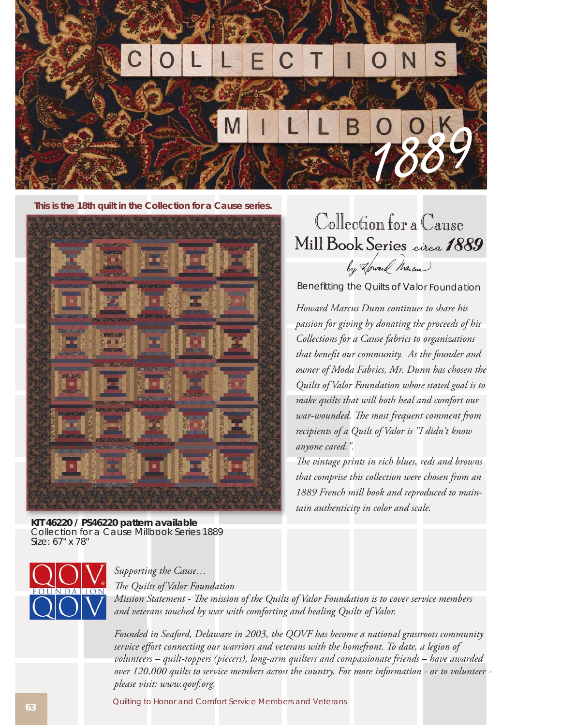

**This is the 18th quilt in the Collection for a Cause series.**



Collection for a Cause Mill Book Series circa 1889 by Howard Marcus

Benefitting the Quilts of Valor Foundation

*Howard Marcus Dunn continues to share his passion for giving by donating the proceeds of his Collections for a Cause fabrics to organizations*  that benefit our community. As the founder and *owner of Moda Fabrics, Mr. Dunn has chosen the Quilts of Valor Foundation whose stated goal is to make quilts that will both heal and comfort our war-wounded. The most frequent comment from recipients of a Quilt of Valor is "I didn't know anyone cared.".* 

The vintage prints in rich blues, reds and browns *that comprise this collection were chosen from an 1889 French mill book and reproduced to maintain authenticity in color and scale.* 

**KIT 46220 / PS46220 pattern available** Collection for a Cause Millbook Series 1889 Size: 67" x 78"



## *Supporting the Cause…*

*The Quilts of Valor Foundation* 

*Mission Statement - The mission of the Quilts of Valor Foundation is to cover service members and veterans touched by war with comforting and healing Quilts of Valor.*

*Founded in Seaford, Delaware in 2003, the QOVF has become a national grassroots community*  service effort connecting our warriors and veterans with the homefront. To date, a legion of *volunteers – quilt-toppers (piecers), long-arm quilters and compassionate friends – have awarded over 120,000 quilts to service members across the country. For more information - or to volunteer please visit: www.qovf.org.*

Quilting to Honor and Comfort Service Members and Veterans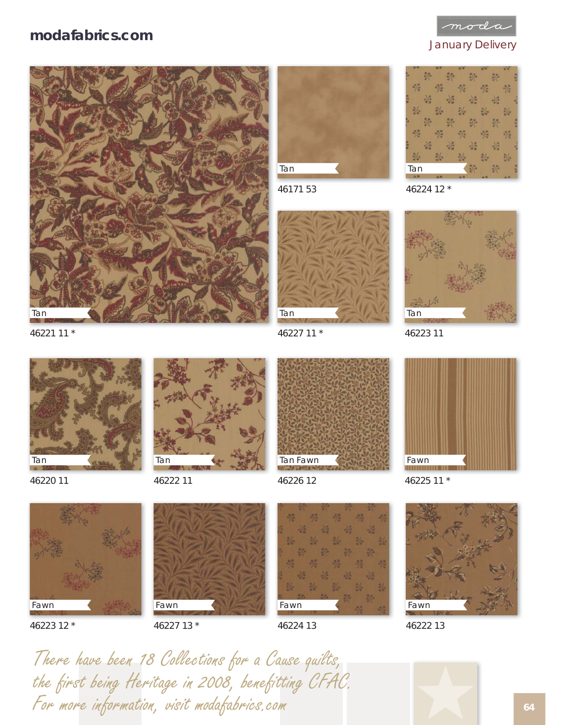## **modafabrics.com**



January Delivery





46171 53



46227 11 \*





46223 11

46221 11 \*



46220 11



46222 11



46226 12



Fawn

46223 12 \*



46227 13 \*

Fawn

46224 13



46222 13

There have been 18 Collections for a Cause quilts,<br>the first being Heritage in 2008, benefitting CFAC.<br>For more information, visit modafabrics.com the first being Heritage in 2008, benefitting CFAC. For more information, visit modafabrics.com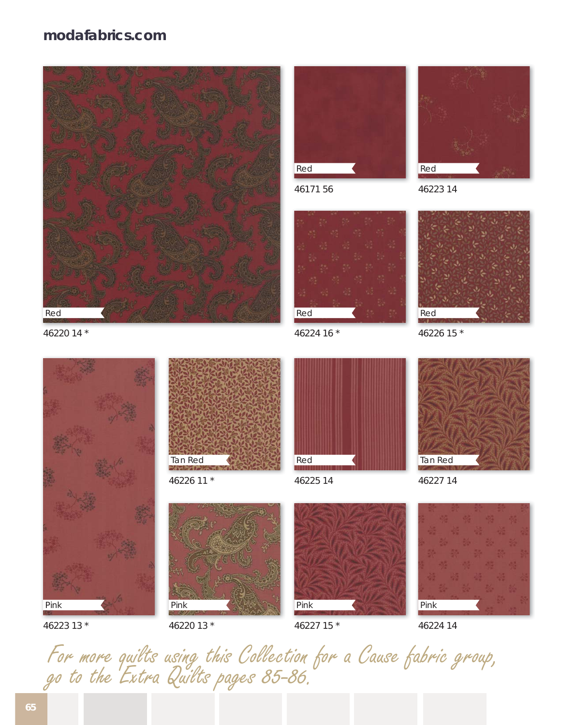## **modafabrics.com**



46220 14 \*





46226 11 \*



46171 56



46224 16 \*



46223 14



46226 15 \*



46225 14



46227 14



46223 13 \*



46220 13 \*

46227 15 \*

Pink



46224 14

For more quilts using this Collection for a Cause fabric group, go to the Extra Quilts pages 85-86.